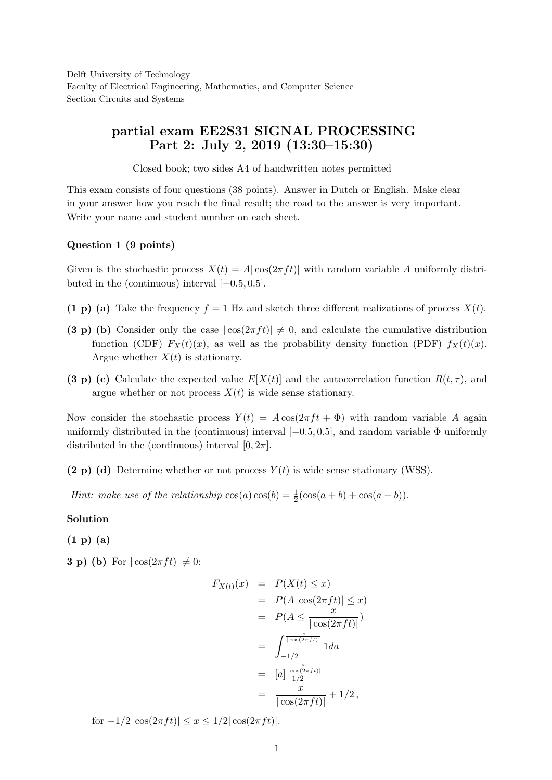Delft University of Technology Faculty of Electrical Engineering, Mathematics, and Computer Science Section Circuits and Systems

# partial exam EE2S31 SIGNAL PROCESSING Part 2: July 2, 2019 (13:30–15:30)

Closed book; two sides A4 of handwritten notes permitted

This exam consists of four questions (38 points). Answer in Dutch or English. Make clear in your answer how you reach the final result; the road to the answer is very important. Write your name and student number on each sheet.

## Question 1 (9 points)

Given is the stochastic process  $X(t) = A |\cos(2\pi ft)|$  with random variable A uniformly distributed in the (continuous) interval  $[-0.5, 0.5]$ .

- (1 p) (a) Take the frequency  $f = 1$  Hz and sketch three different realizations of process  $X(t)$ .
- (3 p) (b) Consider only the case  $|\cos(2\pi ft)| \neq 0$ , and calculate the cumulative distribution function (CDF)  $F_X(t)(x)$ , as well as the probability density function (PDF)  $f_X(t)(x)$ . Argue whether  $X(t)$  is stationary.
- (3 p) (c) Calculate the expected value  $E[X(t)]$  and the autocorrelation function  $R(t, \tau)$ , and argue whether or not process  $X(t)$  is wide sense stationary.

Now consider the stochastic process  $Y(t) = A \cos(2\pi f t + \Phi)$  with random variable A again uniformly distributed in the (continuous) interval  $[-0.5, 0.5]$ , and random variable  $\Phi$  uniformly distributed in the (continuous) interval  $[0, 2\pi]$ .

(2 p) (d) Determine whether or not process  $Y(t)$  is wide sense stationary (WSS).

*Hint:* make use of the relationship  $cos(a) cos(b) = \frac{1}{2}(cos(a+b) + cos(a-b)).$ 

Solution

(1 p) (a)

**3** p) (b) For  $|\cos(2\pi ft)| \neq 0$ :

$$
F_{X(t)}(x) = P(X(t) \le x)
$$
  
=  $P(A | \cos(2\pi ft)| \le x)$   
=  $P(A \le \frac{x}{|\cos(2\pi ft)|})$   
=  $\int_{-1/2}^{\frac{x}{|\cos(2\pi ft)|}} 1 da$   
=  $[a]_{-1/2}^{\frac{x}{|\cos(2\pi ft)|}}$   
=  $\frac{x}{|\cos(2\pi ft)|} + 1/2,$ 

for  $-1/2|\cos(2\pi ft)| \leq x \leq 1/2|\cos(2\pi ft)|$ .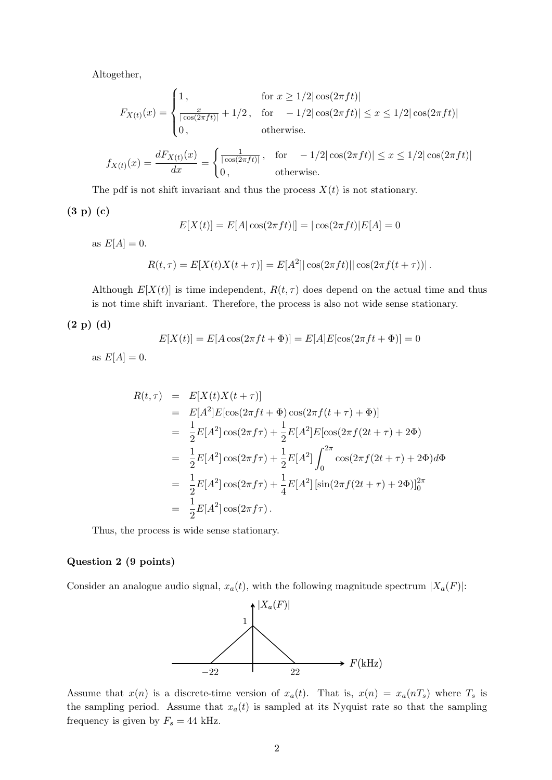Altogether,

$$
F_{X(t)}(x) = \begin{cases} 1, & \text{for } x \ge 1/2 |\cos(2\pi ft)| \\ \frac{x}{|\cos(2\pi ft)|} + 1/2, & \text{for } -1/2 |\cos(2\pi ft)| \le x \le 1/2 |\cos(2\pi ft)| \\ 0, & \text{otherwise.} \end{cases}
$$

$$
f_{X(t)}(x) = \frac{dF_{X(t)}(x)}{dx} = \begin{cases} \frac{1}{|\cos(2\pi ft)|}, & \text{for } -1/2|\cos(2\pi ft)| \le x \le 1/2|\cos(2\pi ft)|\\ 0, & \text{otherwise.} \end{cases}
$$

The pdf is not shift invariant and thus the process  $X(t)$  is not stationary.

(3 p) (c)

$$
E[X(t)] = E[A|\cos(2\pi ft)] = |\cos(2\pi ft)|E[A] = 0
$$

as  $E[A] = 0$ .

$$
R(t, \tau) = E[X(t)X(t + \tau)] = E[A^2] |\cos(2\pi ft)| |\cos(2\pi f(t + \tau))|.
$$

Although  $E[X(t)]$  is time independent,  $R(t, \tau)$  does depend on the actual time and thus is not time shift invariant. Therefore, the process is also not wide sense stationary.

(2 p) (d)

$$
E[X(t)] = E[A\cos(2\pi ft + \Phi)] = E[A]E[\cos(2\pi ft + \Phi)] = 0
$$

as  $E[A] = 0$ .

$$
R(t,\tau) = E[X(t)X(t+\tau)]
$$
  
\n
$$
= E[A^2]E[\cos(2\pi ft + \Phi)\cos(2\pi f(t+\tau) + \Phi)]
$$
  
\n
$$
= \frac{1}{2}E[A^2]\cos(2\pi f\tau) + \frac{1}{2}E[A^2]E[\cos(2\pi f(2t+\tau) + 2\Phi)]
$$
  
\n
$$
= \frac{1}{2}E[A^2]\cos(2\pi f\tau) + \frac{1}{2}E[A^2]\int_0^{2\pi}\cos(2\pi f(2t+\tau) + 2\Phi)d\Phi
$$
  
\n
$$
= \frac{1}{2}E[A^2]\cos(2\pi f\tau) + \frac{1}{4}E[A^2]\left[\sin(2\pi f(2t+\tau) + 2\Phi)\right]_0^{2\pi}
$$
  
\n
$$
= \frac{1}{2}E[A^2]\cos(2\pi f\tau).
$$

Thus, the process is wide sense stationary.

## Question 2 (9 points)

Consider an analogue audio signal,  $x_a(t)$ , with the following magnitude spectrum  $|X_a(F)|$ :



Assume that  $x(n)$  is a discrete-time version of  $x_a(t)$ . That is,  $x(n) = x_a(nT_s)$  where  $T_s$  is the sampling period. Assume that  $x_a(t)$  is sampled at its Nyquist rate so that the sampling frequency is given by  $F_s = 44$  kHz.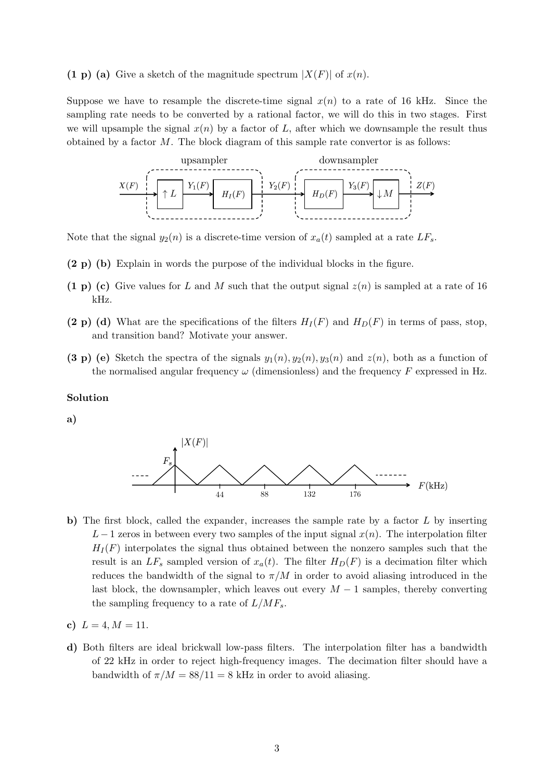(1 p) (a) Give a sketch of the magnitude spectrum  $|X(F)|$  of  $x(n)$ .

Suppose we have to resample the discrete-time signal  $x(n)$  to a rate of 16 kHz. Since the sampling rate needs to be converted by a rational factor, we will do this in two stages. First we will upsample the signal  $x(n)$  by a factor of L, after which we downsample the result thus obtained by a factor  $M$ . The block diagram of this sample rate convertor is as follows:



Note that the signal  $y_2(n)$  is a discrete-time version of  $x_a(t)$  sampled at a rate  $LF_s$ .

- (2 p) (b) Explain in words the purpose of the individual blocks in the figure.
- (1 p) (c) Give values for L and M such that the output signal  $z(n)$  is sampled at a rate of 16 kHz.
- (2 p) (d) What are the specifications of the filters  $H_I(F)$  and  $H_D(F)$  in terms of pass, stop, and transition band? Motivate your answer.
- (3 p) (e) Sketch the spectra of the signals  $y_1(n), y_2(n), y_3(n)$  and  $z(n)$ , both as a function of the normalised angular frequency  $\omega$  (dimensionless) and the frequency F expressed in Hz.

#### Solution

a)



- b) The first block, called the expander, increases the sample rate by a factor L by inserting L − 1 zeros in between every two samples of the input signal  $x(n)$ . The interpolation filter  $H_I(F)$  interpolates the signal thus obtained between the nonzero samples such that the result is an  $LF_s$  sampled version of  $x_a(t)$ . The filter  $H_D(F)$  is a decimation filter which reduces the bandwidth of the signal to  $\pi/M$  in order to avoid aliasing introduced in the last block, the downsampler, which leaves out every  $M-1$  samples, thereby converting the sampling frequency to a rate of  $L/MF_s$ .
- c)  $L = 4, M = 11.$
- d) Both filters are ideal brickwall low-pass filters. The interpolation filter has a bandwidth of 22 kHz in order to reject high-frequency images. The decimation filter should have a bandwidth of  $\pi/M = 88/11 = 8$  kHz in order to avoid aliasing.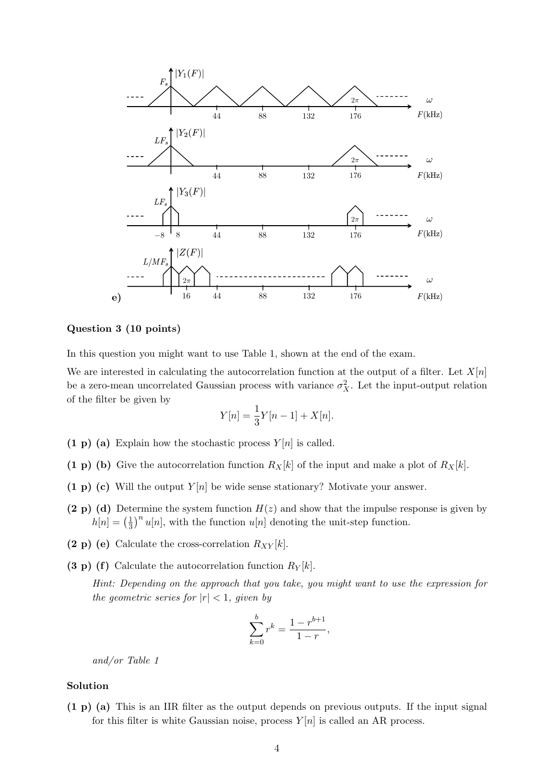

# Question 3 (10 points)

In this question you might want to use Table 1, shown at the end of the exam.

We are interested in calculating the autocorrelation function at the output of a filter. Let  $X[n]$ be a zero-mean uncorrelated Gaussian process with variance  $\sigma_X^2$ . Let the input-output relation of the filter be given by

$$
Y[n] = \frac{1}{3}Y[n-1] + X[n].
$$

- (1 p) (a) Explain how the stochastic process  $Y[n]$  is called.
- (1 p) (b) Give the autocorrelation function  $R_X[k]$  of the input and make a plot of  $R_X[k]$ .
- (1 p) (c) Will the output  $Y[n]$  be wide sense stationary? Motivate your answer.
- (2 p) (d) Determine the system function  $H(z)$  and show that the impulse response is given by  $h[n] = \left(\frac{1}{3}\right)$  $\frac{1}{3}$ <sup>n</sup> u[n], with the function u[n] denoting the unit-step function.
- (2 p) (e) Calculate the cross-correlation  $R_{XY}[k]$ .
- (3 p) (f) Calculate the autocorrelation function  $R_Y[k]$ .

Hint: Depending on the approach that you take, you might want to use the expression for the geometric series for  $|r| < 1$ , given by

$$
\sum_{k=0}^{b} r^k = \frac{1 - r^{b+1}}{1 - r},
$$

and/or Table 1

## Solution

(1 p) (a) This is an IIR filter as the output depends on previous outputs. If the input signal for this filter is white Gaussian noise, process  $Y[n]$  is called an AR process.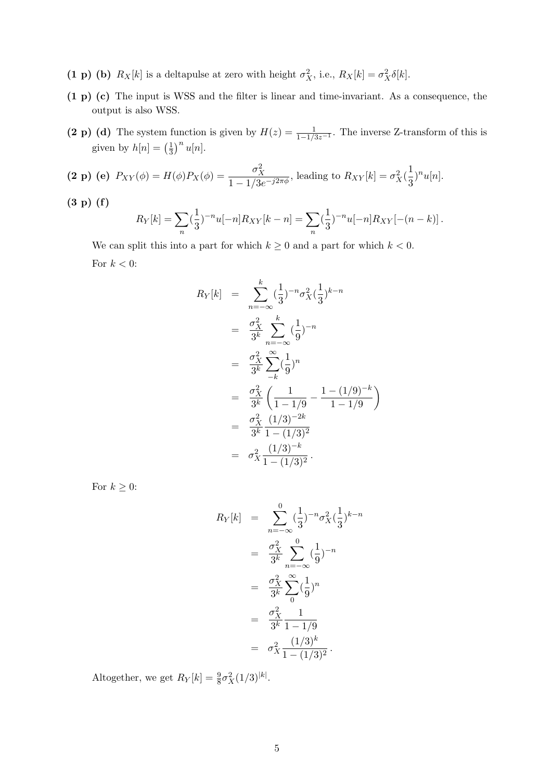- (1 p) (b)  $R_X[k]$  is a deltapulse at zero with height  $\sigma_X^2$ , i.e.,  $R_X[k] = \sigma_X^2 \delta[k]$ .
- (1 p) (c) The input is WSS and the filter is linear and time-invariant. As a consequence, the output is also WSS.
- (2 p) (d) The system function is given by  $H(z) = \frac{1}{1-1/3z^{-1}}$ . The inverse Z-transform of this is given by  $h[n] = \left(\frac{1}{3}\right)$  $\frac{1}{3}$ <sup>n</sup> u[n].

(2 p) (e) 
$$
P_{XY}(\phi) = H(\phi)P_X(\phi) = \frac{\sigma_X^2}{1 - 1/3e^{-j2\pi\phi}}
$$
, leading to  $R_{XY}[k] = \sigma_X^2(\frac{1}{3})^n u[n]$ .

(3 p) (f)

$$
R_Y[k] = \sum_{n} \left(\frac{1}{3}\right)^{-n} u[-n] R_{XY}[k-n] = \sum_{n} \left(\frac{1}{3}\right)^{-n} u[-n] R_{XY}[-(n-k)].
$$

We can split this into a part for which  $k \geq 0$  and a part for which  $k < 0$ . For  $k < 0$ :

$$
R_Y[k] = \sum_{n=-\infty}^{k} \left(\frac{1}{3}\right)^{-n} \sigma_X^2 \left(\frac{1}{3}\right)^{k-n}
$$
  
\n
$$
= \frac{\sigma_X^2}{3^k} \sum_{n=-\infty}^{k} \left(\frac{1}{9}\right)^{-n}
$$
  
\n
$$
= \frac{\sigma_X^2}{3^k} \sum_{-k}^{\infty} \left(\frac{1}{9}\right)^n
$$
  
\n
$$
= \frac{\sigma_X^2}{3^k} \left(\frac{1}{1-1/9} - \frac{1-(1/9)^{-k}}{1-1/9}\right)
$$
  
\n
$$
= \frac{\sigma_X^2}{3^k} \frac{(1/3)^{-2k}}{1-(1/3)^2}
$$
  
\n
$$
= \sigma_X^2 \frac{(1/3)^{-k}}{1-(1/3)^2}.
$$

For  $k\geq 0$  :

$$
R_Y[k] = \sum_{n=-\infty}^{0} \left(\frac{1}{3}\right)^{-n} \sigma_X^2 \left(\frac{1}{3}\right)^{k-n}
$$
  
\n
$$
= \frac{\sigma_X^2}{3^k} \sum_{n=-\infty}^{0} \left(\frac{1}{9}\right)^{-n}
$$
  
\n
$$
= \frac{\sigma_X^2}{3^k} \sum_{n=-\infty}^{\infty} \left(\frac{1}{9}\right)^n
$$
  
\n
$$
= \frac{\sigma_X^2}{3^k} \frac{1}{1 - 1/9}
$$
  
\n
$$
= \sigma_X^2 \frac{(1/3)^k}{1 - (1/3)^2}.
$$

Altogether, we get  $R_Y[k] = \frac{9}{8}\sigma_X^2(1/3)^{|k|}$ .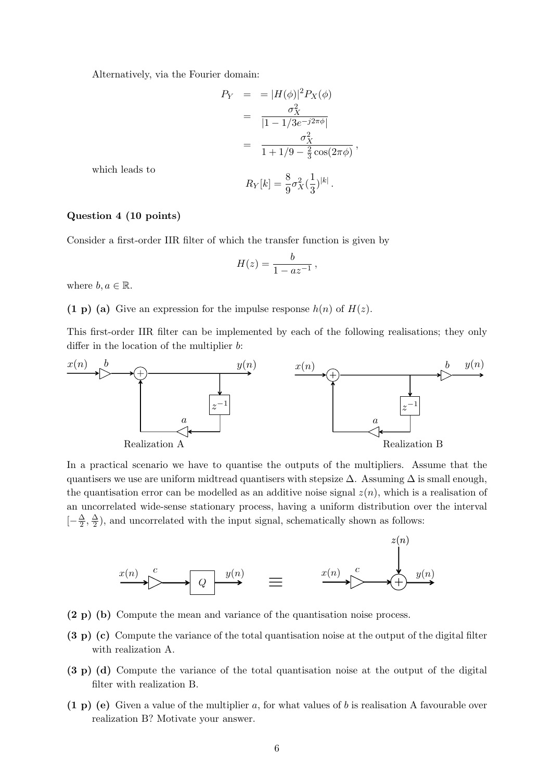Alternatively, via the Fourier domain:

$$
P_Y = = |H(\phi)|^2 P_X(\phi)
$$
  
= 
$$
\frac{\sigma_X^2}{|1 - 1/3e^{-j2\pi\phi}|}
$$
  
= 
$$
\frac{\sigma_X^2}{1 + 1/9 - \frac{2}{3}\cos(2\pi\phi)},
$$
  

$$
R_Y[k] = \frac{8}{9}\sigma_X^2(\frac{1}{3})^{|k|}.
$$

which leads to

#### Question 4 (10 points)

Consider a first-order IIR filter of which the transfer function is given by

$$
H(z) = \frac{b}{1 - az^{-1}},
$$

where  $b, a \in \mathbb{R}$ .

(1 p) (a) Give an expression for the impulse response  $h(n)$  of  $H(z)$ .

This first-order IIR filter can be implemented by each of the following realisations; they only differ in the location of the multiplier b:



In a practical scenario we have to quantise the outputs of the multipliers. Assume that the quantisers we use are uniform midtread quantisers with stepsize  $\Delta$ . Assuming  $\Delta$  is small enough, the quantisation error can be modelled as an additive noise signal  $z(n)$ , which is a realisation of an uncorrelated wide-sense stationary process, having a uniform distribution over the interval  $\left[-\frac{\Delta}{2}\right]$  $\frac{\Delta}{2}, \frac{\Delta}{2}$  $\frac{\Delta}{2}$ , and uncorrelated with the input signal, schematically shown as follows:



- (2 p) (b) Compute the mean and variance of the quantisation noise process.
- (3 p) (c) Compute the variance of the total quantisation noise at the output of the digital filter with realization A.
- (3 p) (d) Compute the variance of the total quantisation noise at the output of the digital filter with realization B.
- (1 p) (e) Given a value of the multiplier a, for what values of b is realisation A favourable over realization B? Motivate your answer.